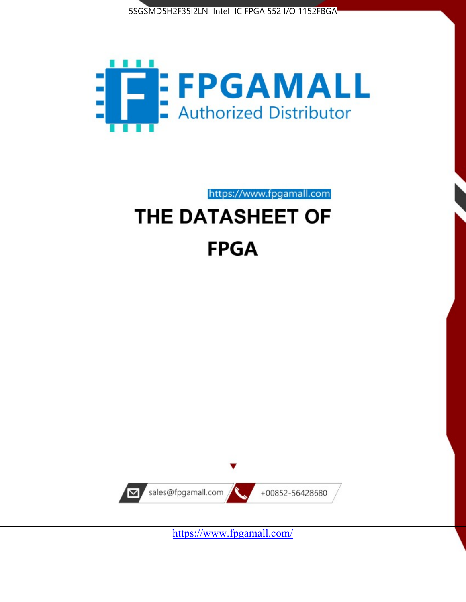



https://www.fpgamall.com

# THE DATASHEET OF **FPGA**



<https://www.fpgamall.com/>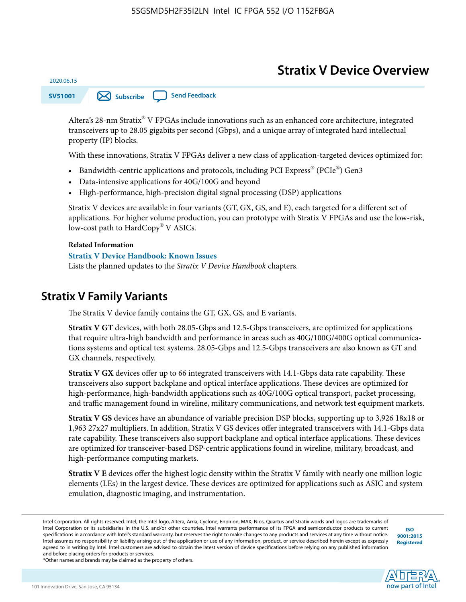# **Stratix V Device Overview**

**SV51001 [Subscribe](https://www.altera.com/servlets/subscriptions/alert?id=SV51001) [Send Feedback](mailto:FPGAtechdocfeedback@intel.com?subject=Feedback%20on%20(SV51001%202020.06.15)%20Stratix%20V%20Device%20Overview&body=We%20appreciate%20your%20feedback.%20In%20your%20comments,%20also%20specify%20the%20page%20number%20or%20paragraph.%20Thank%20you.)** 

Altera's 28-nm Stratix® V FPGAs include innovations such as an enhanced core architecture, integrated transceivers up to 28.05 gigabits per second (Gbps), and a unique array of integrated hard intellectual property (IP) blocks.

With these innovations, Stratix V FPGAs deliver a new class of application-targeted devices optimized for:

- Bandwidth-centric applications and protocols, including PCI Express® (PCIe®) Gen3
- Data-intensive applications for 40G/100G and beyond
- High-performance, high-precision digital signal processing (DSP) applications

Stratix V devices are available in four variants (GT, GX, GS, and E), each targeted for a different set of applications. For higher volume production, you can prototype with Stratix V FPGAs and use the low-risk, low-cost path to HardCopy® V ASICs.

#### **Related Information**

2020.06.15

#### **[Stratix V Device Handbook: Known Issues](http://www.altera.com/support/kdb/solutions/rd08242010_83.html)**

Lists the planned updates to the *Stratix V Device Handbook* chapters.

# **Stratix V Family Variants**

The Stratix V device family contains the GT, GX, GS, and E variants.

**Stratix V GT** devices, with both 28.05-Gbps and 12.5-Gbps transceivers, are optimized for applications that require ultra-high bandwidth and performance in areas such as 40G/100G/400G optical communica‐ tions systems and optical test systems. 28.05-Gbps and 12.5-Gbps transceivers are also known as GT and GX channels, respectively.

**Stratix V GX** devices offer up to 66 integrated transceivers with 14.1-Gbps data rate capability. These transceivers also support backplane and optical interface applications. These devices are optimized for high-performance, high-bandwidth applications such as 40G/100G optical transport, packet processing, and traffic management found in wireline, military communications, and network test equipment markets.

**Stratix V GS** devices have an abundance of variable precision DSP blocks, supporting up to 3,926 18x18 or 1,963 27x27 multipliers. In addition, Stratix V GS devices offer integrated transceivers with 14.1-Gbps data rate capability. These transceivers also support backplane and optical interface applications. These devices are optimized for transceiver-based DSP-centric applications found in wireline, military, broadcast, and high-performance computing markets.

**Stratix V E** devices offer the highest logic density within the Stratix V family with nearly one million logic elements (LEs) in the largest device. These devices are optimized for applications such as ASIC and system emulation, diagnostic imaging, and instrumentation.

**[ISO](http://www.altera.com/support/devices/reliability/certifications/rel-certifications.html) [9001:2015](http://www.altera.com/support/devices/reliability/certifications/rel-certifications.html) [Registered](http://www.altera.com/support/devices/reliability/certifications/rel-certifications.html)**



\*Other names and brands may be claimed as the property of others.

Intel Corporation. All rights reserved. Intel, the Intel logo, Altera, Arria, Cyclone, Enpirion, MAX, Nios, Quartus and Stratix words and logos are trademarks of Intel Corporation or its subsidiaries in the U.S. and/or other countries. Intel warrants performance of its FPGA and semiconductor products to current specifications in accordance with Intel's standard warranty, but reserves the right to make changes to any products and services at any time without notice. Intel assumes no responsibility or liability arising out of the application or use of any information, product, or service described herein except as expressly agreed to in writing by Intel. Intel customers are advised to obtain the latest version of device specifications before relying on any published information and before placing orders for products or services.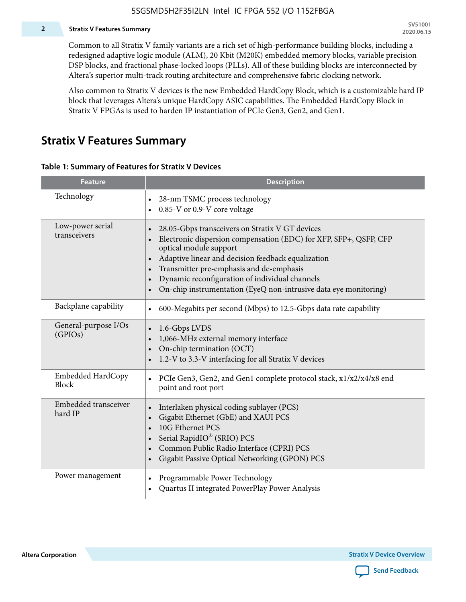### **2 Stratix V Features Summary**

Common to all Stratix V family variants are a rich set of high-performance building blocks, including a redesigned adaptive logic module (ALM), 20 Kbit (M20K) embedded memory blocks, variable precision DSP blocks, and fractional phase-locked loops (PLLs). All of these building blocks are interconnected by Altera's superior multi-track routing architecture and comprehensive fabric clocking network.

Also common to Stratix V devices is the new Embedded HardCopy Block, which is a customizable hard IP block that leverages Altera's unique HardCopy ASIC capabilities. The Embedded HardCopy Block in Stratix V FPGAs is used to harden IP instantiation of PCIe Gen3, Gen2, and Gen1.

# **Stratix V Features Summary**

#### **Table 1: Summary of Features for Stratix V Devices**

| <b>Feature</b>                    | <b>Description</b>                                                                                                                                                                                                                                                                                                                                                                                                         |
|-----------------------------------|----------------------------------------------------------------------------------------------------------------------------------------------------------------------------------------------------------------------------------------------------------------------------------------------------------------------------------------------------------------------------------------------------------------------------|
| Technology                        | 28-nm TSMC process technology<br>0.85-V or 0.9-V core voltage                                                                                                                                                                                                                                                                                                                                                              |
| Low-power serial<br>transceivers  | 28.05-Gbps transceivers on Stratix V GT devices<br>$\bullet$<br>Electronic dispersion compensation (EDC) for XFP, SFP+, QSFP, CFP<br>optical module support<br>Adaptive linear and decision feedback equalization<br>$\bullet$<br>Transmitter pre-emphasis and de-emphasis<br>Dynamic reconfiguration of individual channels<br>$\bullet$<br>On-chip instrumentation (EyeQ non-intrusive data eye monitoring)<br>$\bullet$ |
| Backplane capability              | 600-Megabits per second (Mbps) to 12.5-Gbps data rate capability<br>$\bullet$                                                                                                                                                                                                                                                                                                                                              |
| General-purpose I/Os<br>(GPIOs)   | 1.6-Gbps LVDS<br>1,066-MHz external memory interface<br>$\bullet$<br>On-chip termination (OCT)<br>$\bullet$<br>1.2-V to 3.3-V interfacing for all Stratix V devices                                                                                                                                                                                                                                                        |
| Embedded HardCopy<br><b>Block</b> | PCIe Gen3, Gen2, and Gen1 complete protocol stack, x1/x2/x4/x8 end<br>$\bullet$<br>point and root port                                                                                                                                                                                                                                                                                                                     |
| Embedded transceiver<br>hard IP   | Interlaken physical coding sublayer (PCS)<br>$\bullet$<br>Gigabit Ethernet (GbE) and XAUI PCS<br>$\bullet$<br>10G Ethernet PCS<br>Serial RapidIO® (SRIO) PCS<br>$\bullet$<br>Common Public Radio Interface (CPRI) PCS<br>$\bullet$<br>Gigabit Passive Optical Networking (GPON) PCS<br>$\bullet$                                                                                                                           |
| Power management                  | Programmable Power Technology<br>$\bullet$<br>Quartus II integrated PowerPlay Power Analysis<br>$\bullet$                                                                                                                                                                                                                                                                                                                  |

**Altera Corporation** 

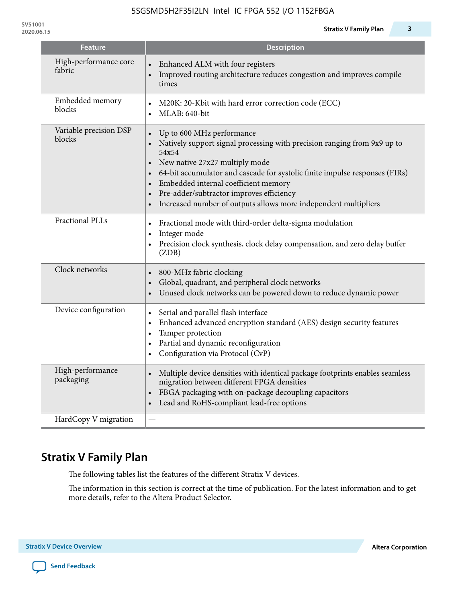| <b>Feature</b>                   | <b>Description</b>                                                                                                                                                                                                                                                                                                                                                                     |
|----------------------------------|----------------------------------------------------------------------------------------------------------------------------------------------------------------------------------------------------------------------------------------------------------------------------------------------------------------------------------------------------------------------------------------|
| High-performance core<br>fabric  | Enhanced ALM with four registers<br>Improved routing architecture reduces congestion and improves compile<br>times                                                                                                                                                                                                                                                                     |
| Embedded memory<br>blocks        | M20K: 20-Kbit with hard error correction code (ECC)<br>MLAB: 640-bit                                                                                                                                                                                                                                                                                                                   |
| Variable precision DSP<br>blocks | Up to 600 MHz performance<br>Natively support signal processing with precision ranging from 9x9 up to<br>54x54<br>New native 27x27 multiply mode<br>64-bit accumulator and cascade for systolic finite impulse responses (FIRs)<br>Embedded internal coefficient memory<br>Pre-adder/subtractor improves efficiency<br>Increased number of outputs allows more independent multipliers |
| Fractional PLLs                  | Fractional mode with third-order delta-sigma modulation<br>$\bullet$<br>Integer mode<br>$\bullet$<br>Precision clock synthesis, clock delay compensation, and zero delay buffer<br>$\bullet$<br>(ZDB)                                                                                                                                                                                  |
| Clock networks                   | 800-MHz fabric clocking<br>Global, quadrant, and peripheral clock networks<br>Unused clock networks can be powered down to reduce dynamic power                                                                                                                                                                                                                                        |
| Device configuration             | Serial and parallel flash interface<br>$\bullet$<br>Enhanced advanced encryption standard (AES) design security features<br>$\bullet$<br>Tamper protection<br>$\bullet$<br>Partial and dynamic reconfiguration<br>$\bullet$<br>Configuration via Protocol (CvP)<br>$\bullet$                                                                                                           |
| High-performance<br>packaging    | Multiple device densities with identical package footprints enables seamless<br>$\bullet$<br>migration between different FPGA densities<br>FBGA packaging with on-package decoupling capacitors<br>$\bullet$<br>Lead and RoHS-compliant lead-free options<br>$\bullet$                                                                                                                 |
| HardCopy V migration             |                                                                                                                                                                                                                                                                                                                                                                                        |

# **Stratix V Family Plan**

The following tables list the features of the different Stratix V devices.

The information in this section is correct at the time of publication. For the latest information and to get more details, refer to the Altera Product Selector.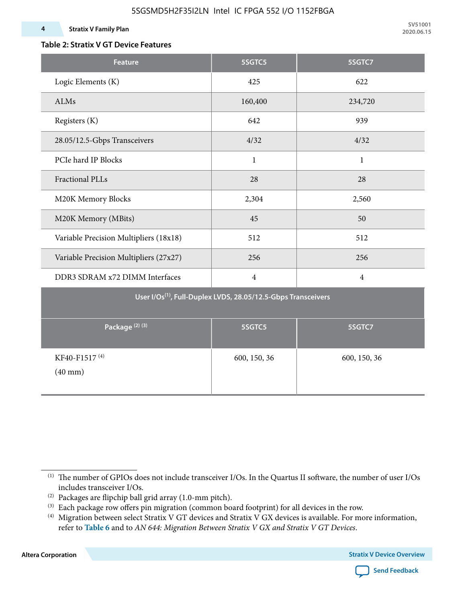#### **4 Stratix V Family Plan**

**SV51001 2020.06.15**

### **Table 2: Stratix V GT Device Features**

| <b>Feature</b>                                                            | 5SGTC5         | 5SGTC7         |  |  |  |  |  |  |  |
|---------------------------------------------------------------------------|----------------|----------------|--|--|--|--|--|--|--|
| Logic Elements (K)                                                        | 425            | 622            |  |  |  |  |  |  |  |
| ALMs                                                                      | 160,400        | 234,720        |  |  |  |  |  |  |  |
| Registers (K)                                                             | 642            | 939            |  |  |  |  |  |  |  |
| 28.05/12.5-Gbps Transceivers                                              | 4/32           | 4/32           |  |  |  |  |  |  |  |
| PCIe hard IP Blocks                                                       | $\mathbf{1}$   | $\mathbf{1}$   |  |  |  |  |  |  |  |
| <b>Fractional PLLs</b>                                                    | 28             | 28             |  |  |  |  |  |  |  |
| M20K Memory Blocks                                                        | 2,304          | 2,560          |  |  |  |  |  |  |  |
| M20K Memory (MBits)                                                       | 45             | 50             |  |  |  |  |  |  |  |
| Variable Precision Multipliers (18x18)                                    | 512            | 512            |  |  |  |  |  |  |  |
| Variable Precision Multipliers (27x27)                                    | 256            | 256            |  |  |  |  |  |  |  |
| DDR3 SDRAM x72 DIMM Interfaces                                            | $\overline{4}$ | $\overline{4}$ |  |  |  |  |  |  |  |
| User I/Os <sup>(1)</sup> , Full-Duplex LVDS, 28.05/12.5-Gbps Transceivers |                |                |  |  |  |  |  |  |  |
| Package <sup>(2)(3)</sup>                                                 | 5SGTC5         | 5SGTC7         |  |  |  |  |  |  |  |
| KF40-F1517 <sup>(4)</sup><br>$(40$ mm $)$                                 | 600, 150, 36   | 600, 150, 36   |  |  |  |  |  |  |  |

**Altera Corporation** 



<sup>(1)</sup> The number of GPIOs does not include transceiver I/Os. In the Quartus II software, the number of user I/Os includes transceiver I/Os.

 $^{(2)}$  Packages are flipchip ball grid array (1.0-mm pitch).

<sup>(3)</sup> Each package row offers pin migration (common board footprint) for all devices in the row.

<sup>(4)</sup> Migration between select Stratix V GT devices and Stratix V GX devices is available. For more information, refer to **Table 6** and to *AN 644: Migration Between Stratix V GX and Stratix V GT Devices*.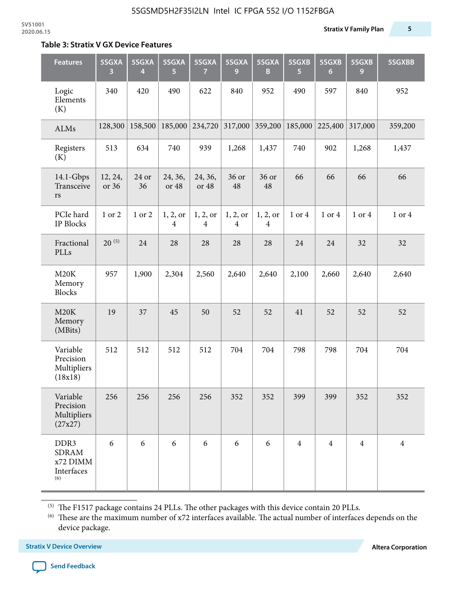#### **Table 3: Stratix V GX Device Features**

| <b>Features</b>                                       | 5SGXA<br>3       | 5SGXA<br>4  | 5SGXA<br>5                 | 5SGXA<br>$\overline{7}$    | 5SGXA<br>9                 | 5SGXA<br>B                 | 5SGXB<br>5     | 5SGXB<br>$6\phantom{1}6$ | 5SGXB<br>9     | 5SGXBB         |
|-------------------------------------------------------|------------------|-------------|----------------------------|----------------------------|----------------------------|----------------------------|----------------|--------------------------|----------------|----------------|
| Logic<br>Elements<br>(K)                              | 340              | 420         | 490                        | 622                        | 840                        | 952                        | 490            | 597                      | 840            | 952            |
| ALMs                                                  | 128,300          | 158,500     | 185,000                    | 234,720                    | 317,000                    | 359,200                    | 185,000        | 225,400                  | 317,000        | 359,200        |
| Registers<br>(K)                                      | 513              | 634         | 740                        | 939                        | 1,268                      | 1,437                      | 740            | 902                      | 1,268          | 1,437          |
| 14.1-Gbps<br>Transceive<br>rs                         | 12, 24,<br>or 36 | 24 or<br>36 | 24, 36,<br>or 48           | 24, 36,<br>or 48           | 36 or<br>48                | 36 or<br>48                | 66             | 66                       | 66             | 66             |
| PCIe hard<br>IP Blocks                                | 1 or 2           | 1 or 2      | 1, 2, or<br>$\overline{4}$ | 1, 2, or<br>$\overline{4}$ | 1, 2, or<br>$\overline{4}$ | 1, 2, or<br>$\overline{4}$ | 1 or 4         | 1 or 4                   | 1 or 4         | 1 or 4         |
| Fractional<br>PLLs                                    | $20^{(5)}$       | 24          | 28                         | 28                         | 28                         | 28                         | 24             | 24                       | 32             | 32             |
| M20K<br>Memory<br><b>Blocks</b>                       | 957              | 1,900       | 2,304                      | 2,560                      | 2,640                      | 2,640                      | 2,100          | 2,660                    | 2,640          | 2,640          |
| M20K<br>Memory<br>(MBits)                             | 19               | 37          | 45                         | 50                         | 52                         | 52                         | 41             | 52                       | 52             | 52             |
| Variable<br>Precision<br>Multipliers<br>(18x18)       | 512              | 512         | 512                        | 512                        | 704                        | 704                        | 798            | 798                      | 704            | 704            |
| Variable<br>Precision<br>Multipliers<br>(27x27)       | 256              | 256         | 256                        | 256                        | 352                        | 352                        | 399            | 399                      | 352            | 352            |
| DDR3<br><b>SDRAM</b><br>x72 DIMM<br>Interfaces<br>(6) | 6                | 6           | 6                          | 6                          | 6                          | 6                          | $\overline{4}$ | $\overline{4}$           | $\overline{4}$ | $\overline{4}$ |

 $^{\left(5\right)}$  The F1517 package contains 24 PLLs. The other packages with this device contain 20 PLLs.

(6) These are the maximum number of x72 interfaces available. The actual number of interfaces depends on the device package.

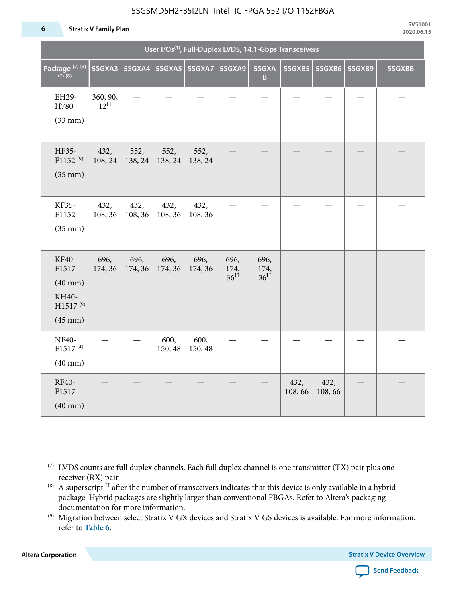#### **6 Stratix V Family Plan**

| User I/Os <sup>(1)</sup> , Full-Duplex LVDS, 14.1-Gbps Transceivers             |                             |                 |                 |                 |                                 |                                 |                |                |        |        |
|---------------------------------------------------------------------------------|-----------------------------|-----------------|-----------------|-----------------|---------------------------------|---------------------------------|----------------|----------------|--------|--------|
| Package <sup>(2)(3)</sup><br>(7)(8)                                             | 5SGXA3                      | 5SGXA4          | <b>5SGXA5</b>   | 5SGXA7          | 5SGXA9                          | 5SGXA<br>$\overline{B}$         | 5SGXB5         | 5SGXB6         | 5SGXB9 | 5SGXBB |
| EH29-<br>H780<br>$(33$ mm $)$                                                   | 360, 90,<br>$12^{\text{H}}$ |                 |                 |                 |                                 |                                 |                |                |        |        |
| HF35-<br>$F1152^{(9)}$<br>$(35$ mm $)$                                          | 432,<br>108, 24             | 552,<br>138, 24 | 552,<br>138, 24 | 552,<br>138, 24 |                                 |                                 |                |                |        |        |
| KF35-<br>F1152<br>$(35$ mm $)$                                                  | 432,<br>108, 36             | 432,<br>108, 36 | 432,<br>108, 36 | 432,<br>108, 36 |                                 |                                 |                |                |        |        |
| KF40-<br>F1517<br>$(40$ mm $)$<br>KH40-<br>H1517 <sup>(9)</sup><br>$(45$ mm $)$ | 696,<br>174, 36             | 696,<br>174, 36 | 696,<br>174, 36 | 696,<br>174, 36 | 696,<br>174,<br>36 <sup>H</sup> | 696,<br>174,<br>36 <sup>H</sup> |                |                |        |        |
| <b>NF40-</b><br>F1517 <sup>(4)</sup><br>$(40 \text{ mm})$                       |                             |                 | 600,<br>150, 48 | 600,<br>150, 48 |                                 |                                 |                |                |        |        |
| RF40-<br>F1517<br>$(40$ mm $)$                                                  |                             |                 |                 |                 |                                 |                                 | 432,<br>108,66 | 432,<br>108,66 |        |        |

**Altera Corporation** 



<sup>(7)</sup> LVDS counts are full duplex channels. Each full duplex channel is one transmitter (TX) pair plus one receiver (RX) pair.

<sup>(8)</sup> A superscript  $H$  after the number of transceivers indicates that this device is only available in a hybrid package. Hybrid packages are slightly larger than conventional FBGAs. Refer to Altera's packaging documentation for more information.

<sup>(9)</sup> Migration between select Stratix V GX devices and Stratix V GS devices is available. For more information, refer to **Table 6**.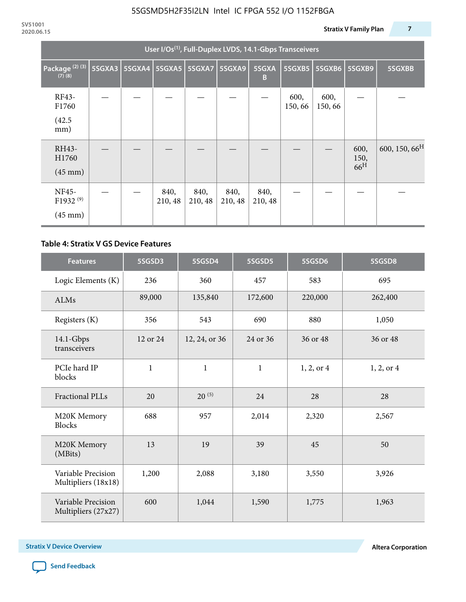| User I/Os <sup>(1)</sup> , Full-Duplex LVDS, 14.1-Gbps Transceivers |        |               |                 |                 |                 |                 |                |                |                                 |                           |
|---------------------------------------------------------------------|--------|---------------|-----------------|-----------------|-----------------|-----------------|----------------|----------------|---------------------------------|---------------------------|
| Package <sup>(2)(3)</sup><br>$(7)$ $(8)$                            | 5SGXA3 | <b>5SGXA4</b> |                 | 5SGXA5   5SGXA7 | 5SGXA9          | 5SGXA<br>B      | 5SGXB5         | <b>5SGXB6</b>  | <b>5SGXB9</b>                   | 5SGXBB                    |
| RF43-<br>F1760<br>(42.5)<br>mm)                                     |        |               |                 |                 |                 |                 | 600,<br>150,66 | 600,<br>150,66 |                                 |                           |
| RH43-<br>H1760<br>$(45 \text{ mm})$                                 |        |               |                 |                 |                 |                 |                |                | 600,<br>150,<br>66 <sup>H</sup> | 600, 150, 66 <sup>H</sup> |
| NF45-<br>F1932 <sup>(9)</sup><br>$(45 \text{ mm})$                  |        |               | 840,<br>210, 48 | 840,<br>210, 48 | 840,<br>210, 48 | 840,<br>210, 48 |                |                |                                 |                           |

### **Table 4: Stratix V GS Device Features**

| <b>Features</b>                           | 5SGSD3       | 5SGSD4                    | 5SGSD5       | 5SGSD6     | 5SGSD8     |
|-------------------------------------------|--------------|---------------------------|--------------|------------|------------|
| Logic Elements (K)                        | 236          | 360                       | 457          | 583        | 695        |
| <b>ALMs</b>                               | 89,000       | 135,840                   | 172,600      | 220,000    | 262,400    |
| Registers (K)                             | 356          | 543                       | 690          | 880        | 1,050      |
| $14.1$ -Gbps<br>transceivers              | 12 or 24     | 24 or 36<br>12, 24, or 36 |              | 36 or 48   | 36 or 48   |
| PCIe hard IP<br>blocks                    | $\mathbf{1}$ | $\mathbf{1}$              | $\mathbf{1}$ | 1, 2, or 4 | 1, 2, or 4 |
| <b>Fractional PLLs</b>                    | 20           | $20^{(5)}$                | 24           | 28         | 28         |
| M20K Memory<br><b>Blocks</b>              | 688          | 957                       | 2,014        | 2,320      | 2,567      |
| M20K Memory<br>(MBits)                    | 13           | 19                        | 39           | 45         | 50         |
| Variable Precision<br>Multipliers (18x18) | 1,200        | 2,088                     | 3,180        | 3,550      | 3,926      |
| Variable Precision<br>Multipliers (27x27) | 600          | 1,044                     | 1,590        | 1,775      | 1,963      |

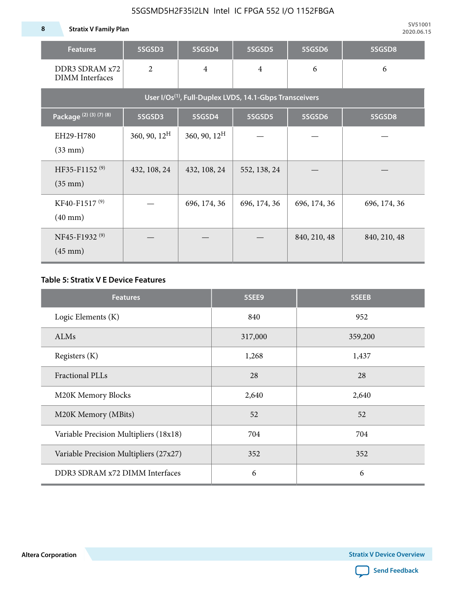**8 Stratix V Family Plan**

| <b>Features</b>                                                     | 5SGSD3          | 5SGSD4          | 5SGSD5         | 5SGSD6       | 5SGSD8       |  |  |  |  |  |  |
|---------------------------------------------------------------------|-----------------|-----------------|----------------|--------------|--------------|--|--|--|--|--|--|
| DDR3 SDRAM x72<br><b>DIMM</b> Interfaces                            | 2               | $\overline{4}$  | $\overline{4}$ |              | 6            |  |  |  |  |  |  |
| User I/Os <sup>(1)</sup> , Full-Duplex LVDS, 14.1-Gbps Transceivers |                 |                 |                |              |              |  |  |  |  |  |  |
| Package (2) (3) (7) (8)                                             | 5SGSD3          | 5SGSD4          | 5SGSD5         | 5SGSD6       | 5SGSD8       |  |  |  |  |  |  |
| EH29-H780<br>$(33$ mm $)$                                           | 360, 90, $12^H$ | 360, 90, $12^H$ |                |              |              |  |  |  |  |  |  |
| HF35-F1152 <sup>(9)</sup><br>$(35 \text{ mm})$                      | 432, 108, 24    | 432, 108, 24    | 552, 138, 24   |              |              |  |  |  |  |  |  |
| KF40-F1517 <sup>(9)</sup><br>$(40 \text{ mm})$                      |                 | 696, 174, 36    | 696, 174, 36   | 696, 174, 36 | 696, 174, 36 |  |  |  |  |  |  |
| NF45-F1932 <sup>(9)</sup><br>$(45 \text{ mm})$                      |                 |                 |                | 840, 210, 48 | 840, 210, 48 |  |  |  |  |  |  |

### **Table 5: Stratix V E Device Features**

| <b>Features</b>                        | 5SEE9   | 5SEEB   |
|----------------------------------------|---------|---------|
| Logic Elements (K)                     | 840     | 952     |
| <b>ALMs</b>                            | 317,000 | 359,200 |
| Registers (K)                          | 1,268   | 1,437   |
| Fractional PLLs                        | 28      | 28      |
| M20K Memory Blocks                     | 2,640   | 2,640   |
| M20K Memory (MBits)                    | 52      | 52      |
| Variable Precision Multipliers (18x18) | 704     | 704     |
| Variable Precision Multipliers (27x27) | 352     | 352     |
| DDR3 SDRAM x72 DIMM Interfaces         | 6       | 6       |

**Altera Corporation** 

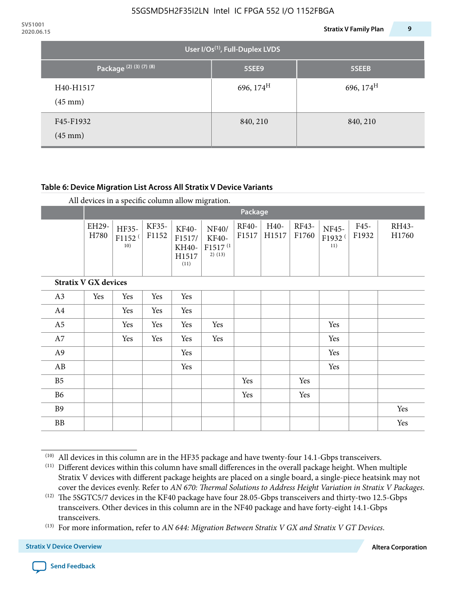|                                             | 9<br><b>Stratix V Family Plan</b> |
|---------------------------------------------|-----------------------------------|
| User I/Os <sup>(1)</sup> , Full-Duplex LVDS |                                   |
| 5SEE9                                       | 5SEEB                             |
| 696, $174^H$                                | 696, $174^H$                      |
| 840, 210                                    | 840, 210                          |
|                                             |                                   |

### **Table 6: Device Migration List Across All Stratix V Device Variants**

|                             |               | $\overline{\phantom{a}}$<br>Package |                |                                           |                                                    |                |               |                |                                           |               |                |
|-----------------------------|---------------|-------------------------------------|----------------|-------------------------------------------|----------------------------------------------------|----------------|---------------|----------------|-------------------------------------------|---------------|----------------|
|                             | EH29-<br>H780 | HF35-<br>F1152 <sup>(</sup><br>10)  | KF35-<br>F1152 | KF40-<br>F1517/<br>KH40-<br>H1517<br>(11) | NF40/<br>KF40-<br>F1517 <sup>(1</sup><br>$2)$ (13) | RF40-<br>F1517 | H40-<br>H1517 | RF43-<br>F1760 | <b>NF45-</b><br>F1932 <sup>(</sup><br>11) | F45-<br>F1932 | RH43-<br>H1760 |
| <b>Stratix V GX devices</b> |               |                                     |                |                                           |                                                    |                |               |                |                                           |               |                |
| A3                          | Yes           | Yes                                 | Yes            | Yes                                       |                                                    |                |               |                |                                           |               |                |
| A4                          |               | Yes                                 | Yes            | Yes                                       |                                                    |                |               |                |                                           |               |                |
| A <sub>5</sub>              |               | Yes                                 | Yes            | Yes                                       | Yes                                                |                |               |                | Yes                                       |               |                |
| A7                          |               | Yes                                 | Yes            | Yes                                       | Yes                                                |                |               |                | Yes                                       |               |                |
| A9                          |               |                                     |                | Yes                                       |                                                    |                |               |                | Yes                                       |               |                |
| AB                          |               |                                     |                | Yes                                       |                                                    |                |               |                | Yes                                       |               |                |
| B <sub>5</sub>              |               |                                     |                |                                           |                                                    | Yes            |               | Yes            |                                           |               |                |
| B <sub>6</sub>              |               |                                     |                |                                           |                                                    | Yes            |               | Yes            |                                           |               |                |
| <b>B9</b>                   |               |                                     |                |                                           |                                                    |                |               |                |                                           |               | Yes            |
| <b>BB</b>                   |               |                                     |                |                                           |                                                    |                |               |                |                                           |               | Yes            |

 $(10)$  All devices in this column are in the HF35 package and have twenty-four 14.1-Gbps transceivers.



<sup>(11)</sup> Different devices within this column have small differences in the overall package height. When multiple Stratix V devices with different package heights are placed on a single board, a single-piece heatsink may not cover the devices evenly. Refer to *AN 670: Thermal Solutions to Address Height Variation in Stratix V Packages*.

<sup>(12)</sup> The 5SGTC5/7 devices in the KF40 package have four 28.05-Gbps transceivers and thirty-two 12.5-Gbps transceivers. Other devices in this column are in the NF40 package and have forty-eight 14.1-Gbps transceivers.

<sup>(13)</sup> For more information, refer to *AN 644: Migration Between Stratix V GX and Stratix V GT Devices*.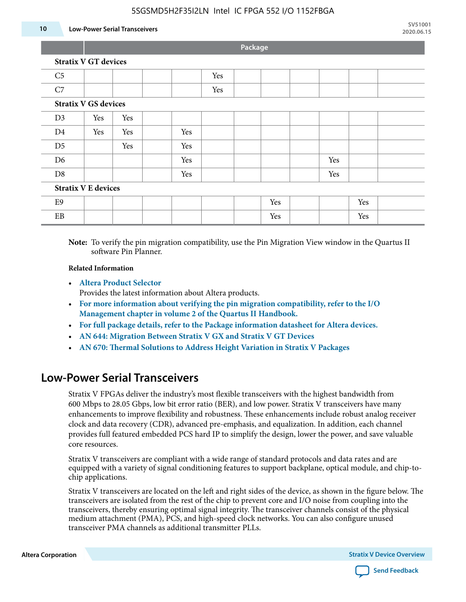#### **10 Low-Power Serial Transceivers**

**Package**

|  |  |  | <b>Stratix V GT devices</b> |  |
|--|--|--|-----------------------------|--|
|--|--|--|-----------------------------|--|

| C <sub>5</sub>             |                             |     |     | Yes |  |     |     |     |  |
|----------------------------|-----------------------------|-----|-----|-----|--|-----|-----|-----|--|
|                            |                             |     |     |     |  |     |     |     |  |
| C7                         |                             |     |     | Yes |  |     |     |     |  |
|                            | <b>Stratix V GS devices</b> |     |     |     |  |     |     |     |  |
| D3                         | Yes                         | Yes |     |     |  |     |     |     |  |
| D <sub>4</sub>             | Yes                         | Yes | Yes |     |  |     |     |     |  |
| D <sub>5</sub>             |                             | Yes | Yes |     |  |     |     |     |  |
| D <sub>6</sub>             |                             |     | Yes |     |  |     | Yes |     |  |
| D <sub>8</sub>             |                             |     | Yes |     |  |     | Yes |     |  |
| <b>Stratix V E devices</b> |                             |     |     |     |  |     |     |     |  |
| E <sub>9</sub>             |                             |     |     |     |  | Yes |     | Yes |  |
| EB                         |                             |     |     |     |  | Yes |     | Yes |  |

**Note:** To verify the pin migration compatibility, use the Pin Migration View window in the Quartus II software Pin Planner.

#### **Related Information**

• **[Altera Product Selector](http://www.altera.com/products/selector/psg-selector.html#)**

Provides the latest information about Altera products.

- **[For more information about verifying the pin migration compatibility, refer to the I/O](http://www.altera.com/literature/hb/qts/qts_qii52013.pdf) [Management chapter in volume 2 of the Quartus II Handbook.](http://www.altera.com/literature/hb/qts/qts_qii52013.pdf)**
- **[For full package details, refer to the Package information datasheet for Altera devices.](http://www.altera.com/support/devices/packaging/specifications/pkg-pin/spe-index.jsp)**
- **[AN 644: Migration Between Stratix V GX and Stratix V GT Devices](http://www.altera.com/literature/an/an644.pdf)**
- **[AN 670: Thermal Solutions to Address Height Variation in Stratix V Packages](http://www.altera.com/literature/an/an670.pdf)**

### **Low-Power Serial Transceivers**

Stratix V FPGAs deliver the industry's most flexible transceivers with the highest bandwidth from 600 Mbps to 28.05 Gbps, low bit error ratio (BER), and low power. Stratix V transceivers have many enhancements to improve flexibility and robustness. These enhancements include robust analog receiver clock and data recovery (CDR), advanced pre-emphasis, and equalization. In addition, each channel provides full featured embedded PCS hard IP to simplify the design, lower the power, and save valuable core resources.

Stratix V transceivers are compliant with a wide range of standard protocols and data rates and are equipped with a variety of signal conditioning features to support backplane, optical module, and chip-tochip applications.

Stratix V transceivers are located on the left and right sides of the device, as shown in the figure below. The transceivers are isolated from the rest of the chip to prevent core and I/O noise from coupling into the transceivers, thereby ensuring optimal signal integrity. The transceiver channels consist of the physical medium attachment (PMA), PCS, and high-speed clock networks. You can also configure unused transceiver PMA channels as additional transmitter PLLs.

**Altera Corporation Stratix V Device Overview**

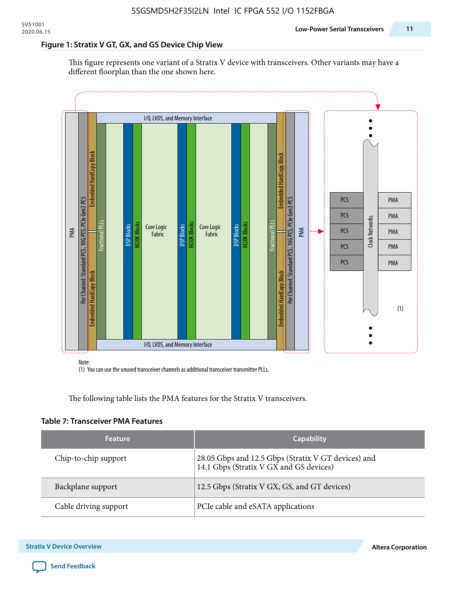### **Figure 1: Stratix V GT, GX, and GS Device Chip View**

This figure represents one variant of a Stratix V device with transceivers. Other variants may have a different floorplan than the one shown here.



(1) You can use the unused transceiver channels as additional transceiver transmitter PLLs.

The following table lists the PMA features for the Stratix V transceivers.

#### **Table 7: Transceiver PMA Features**

| <b>Feature</b>        | <b>Capability</b>                                                                              |
|-----------------------|------------------------------------------------------------------------------------------------|
| Chip-to-chip support  | 28.05 Gbps and 12.5 Gbps (Stratix V GT devices) and<br>14.1 Gbps (Stratix V GX and GS devices) |
| Backplane support     | 12.5 Gbps (Stratix V GX, GS, and GT devices)                                                   |
| Cable driving support | PCIe cable and eSATA applications                                                              |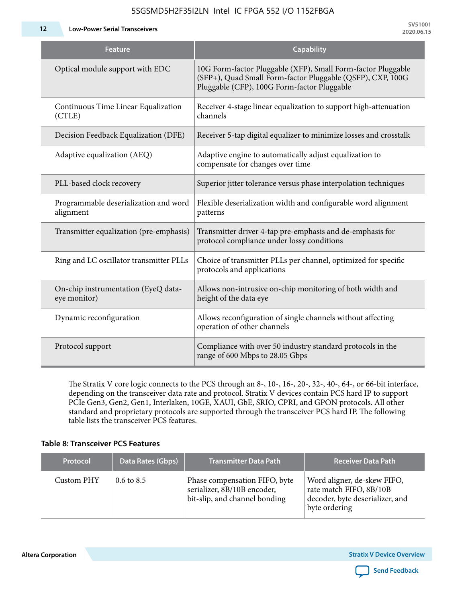**12 Low-Power Serial Transceivers**

| Feature                                             | <b>Capability</b>                                                                                                                                                         |
|-----------------------------------------------------|---------------------------------------------------------------------------------------------------------------------------------------------------------------------------|
| Optical module support with EDC                     | 10G Form-factor Pluggable (XFP), Small Form-factor Pluggable<br>(SFP+), Quad Small Form-factor Pluggable (QSFP), CXP, 100G<br>Pluggable (CFP), 100G Form-factor Pluggable |
| Continuous Time Linear Equalization<br>(CTLE)       | Receiver 4-stage linear equalization to support high-attenuation<br>channels                                                                                              |
| Decision Feedback Equalization (DFE)                | Receiver 5-tap digital equalizer to minimize losses and crosstalk                                                                                                         |
| Adaptive equalization (AEQ)                         | Adaptive engine to automatically adjust equalization to<br>compensate for changes over time                                                                               |
| PLL-based clock recovery                            | Superior jitter tolerance versus phase interpolation techniques                                                                                                           |
| Programmable deserialization and word<br>alignment  | Flexible deserialization width and configurable word alignment<br>patterns                                                                                                |
| Transmitter equalization (pre-emphasis)             | Transmitter driver 4-tap pre-emphasis and de-emphasis for<br>protocol compliance under lossy conditions                                                                   |
| Ring and LC oscillator transmitter PLLs             | Choice of transmitter PLLs per channel, optimized for specific<br>protocols and applications                                                                              |
| On-chip instrumentation (EyeQ data-<br>eye monitor) | Allows non-intrusive on-chip monitoring of both width and<br>height of the data eye                                                                                       |
| Dynamic reconfiguration                             | Allows reconfiguration of single channels without affecting<br>operation of other channels                                                                                |
| Protocol support                                    | Compliance with over 50 industry standard protocols in the<br>range of 600 Mbps to 28.05 Gbps                                                                             |

The Stratix V core logic connects to the PCS through an 8-, 10-, 16-, 20-, 32-, 40-, 64-, or 66-bit interface, depending on the transceiver data rate and protocol. Stratix V devices contain PCS hard IP to support PCIe Gen3, Gen2, Gen1, Interlaken, 10GE, XAUI, GbE, SRIO, CPRI, and GPON protocols. All other standard and proprietary protocols are supported through the transceiver PCS hard IP. The following table lists the transceiver PCS features.

### **Table 8: Transceiver PCS Features**

| <b>Protocol</b> | Data Rates (Gbps)     | <b>Transmitter Data Path</b>                                                                  | <b>Receiver Data Path</b>                                                                                  |
|-----------------|-----------------------|-----------------------------------------------------------------------------------------------|------------------------------------------------------------------------------------------------------------|
| Custom PHY      | $0.6 \text{ to } 8.5$ | Phase compensation FIFO, byte<br>serializer, 8B/10B encoder,<br>bit-slip, and channel bonding | Word aligner, de-skew FIFO,<br>rate match FIFO, 8B/10B<br>decoder, byte deserializer, and<br>byte ordering |

**Altera Corporation** 

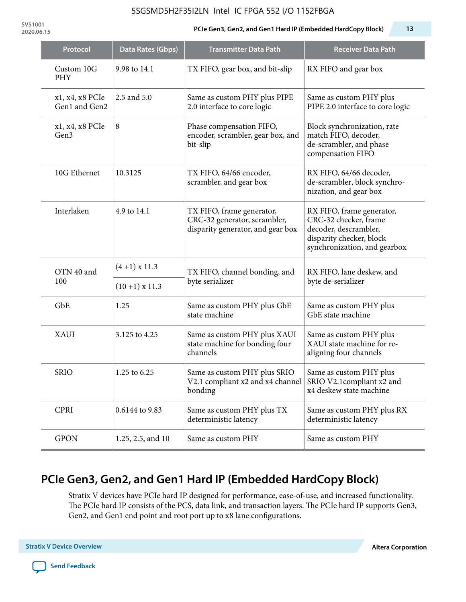**SV51001**

#### **2020.06.15 PCIe Gen3, Gen2, and Gen1 Hard IP (Embedded HardCopy Block) 13**

| Protocol                            | Data Rates (Gbps) | <b>Transmitter Data Path</b>                                                                           | <b>Receiver Data Path</b>                                                                                                               |  |
|-------------------------------------|-------------------|--------------------------------------------------------------------------------------------------------|-----------------------------------------------------------------------------------------------------------------------------------------|--|
| Custom 10G<br>PHY                   | 9.98 to 14.1      | TX FIFO, gear box, and bit-slip                                                                        | RX FIFO and gear box                                                                                                                    |  |
| x1, x4, x8 PCIe<br>Gen1 and Gen2    | 2.5 and 5.0       | Same as custom PHY plus PIPE<br>2.0 interface to core logic                                            | Same as custom PHY plus<br>PIPE 2.0 interface to core logic                                                                             |  |
| x1, x4, x8 PCIe<br>Gen <sub>3</sub> | 8                 | Phase compensation FIFO,<br>encoder, scrambler, gear box, and<br>bit-slip                              | Block synchronization, rate<br>match FIFO, decoder,<br>de-scrambler, and phase<br>compensation FIFO                                     |  |
| 10G Ethernet                        | 10.3125           | TX FIFO, 64/66 encoder,<br>scrambler, and gear box                                                     | RX FIFO, 64/66 decoder,<br>de-scrambler, block synchro-<br>nization, and gear box                                                       |  |
| Interlaken                          | 4.9 to 14.1       | TX FIFO, frame generator,<br>CRC-32 generator, scrambler,<br>disparity generator, and gear box         | RX FIFO, frame generator,<br>CRC-32 checker, frame<br>decoder, descrambler,<br>disparity checker, block<br>synchronization, and gearbox |  |
| OTN 40 and                          | $(4+1)$ x 11.3    | TX FIFO, channel bonding, and                                                                          | RX FIFO, lane deskew, and                                                                                                               |  |
| 100                                 | $(10+1)$ x 11.3   | byte serializer                                                                                        | byte de-serializer                                                                                                                      |  |
| GbE                                 | 1.25              | Same as custom PHY plus GbE<br>state machine                                                           | Same as custom PHY plus<br>GbE state machine                                                                                            |  |
| <b>XAUI</b>                         | 3.125 to 4.25     | Same as custom PHY plus XAUI<br>state machine for bonding four<br>channels                             | Same as custom PHY plus<br>XAUI state machine for re-<br>aligning four channels                                                         |  |
| <b>SRIO</b>                         | 1.25 to 6.25      | Same as custom PHY plus SRIO<br>V2.1 compliant x2 and x4 channel SRIO V2.1 compliant x2 and<br>bonding | Same as custom PHY plus<br>x4 deskew state machine                                                                                      |  |
| <b>CPRI</b>                         | 0.6144 to 9.83    | Same as custom PHY plus TX<br>deterministic latency                                                    | Same as custom PHY plus RX<br>deterministic latency                                                                                     |  |
| <b>GPON</b>                         | 1.25, 2.5, and 10 | Same as custom PHY                                                                                     | Same as custom PHY                                                                                                                      |  |

# **PCIe Gen3, Gen2, and Gen1 Hard IP (Embedded HardCopy Block)**

Stratix V devices have PCIe hard IP designed for performance, ease-of-use, and increased functionality. The PCIe hard IP consists of the PCS, data link, and transaction layers. The PCIe hard IP supports Gen3, Gen2, and Gen1 end point and root port up to x8 lane configurations.

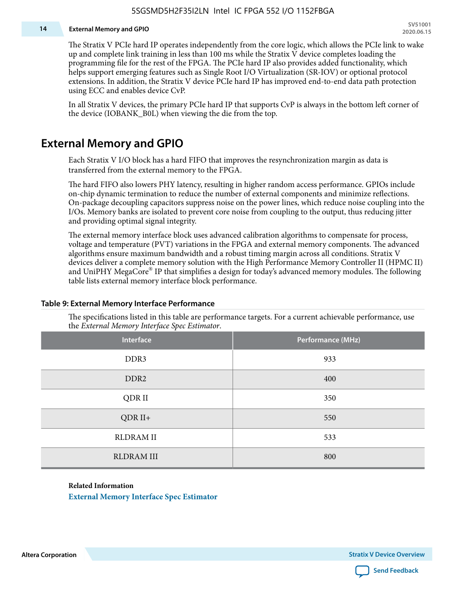#### **14 External Memory and GPIO**

The Stratix V PCIe hard IP operates independently from the core logic, which allows the PCIe link to wake up and complete link training in less than 100 ms while the Stratix V device completes loading the programming file for the rest of the FPGA. The PCIe hard IP also provides added functionality, which helps support emerging features such as Single Root I/O Virtualization (SR-IOV) or optional protocol extensions. In addition, the Stratix V device PCIe hard IP has improved end-to-end data path protection using ECC and enables device CvP.

In all Stratix V devices, the primary PCIe hard IP that supports CvP is always in the bottom left corner of the device (IOBANK\_B0L) when viewing the die from the top.

### **External Memory and GPIO**

Each Stratix V I/O block has a hard FIFO that improves the resynchronization margin as data is transferred from the external memory to the FPGA.

The hard FIFO also lowers PHY latency, resulting in higher random access performance. GPIOs include on-chip dynamic termination to reduce the number of external components and minimize reflections. On-package decoupling capacitors suppress noise on the power lines, which reduce noise coupling into the I/Os. Memory banks are isolated to prevent core noise from coupling to the output, thus reducing jitter and providing optimal signal integrity.

The external memory interface block uses advanced calibration algorithms to compensate for process, voltage and temperature (PVT) variations in the FPGA and external memory components. The advanced algorithms ensure maximum bandwidth and a robust timing margin across all conditions. Stratix V devices deliver a complete memory solution with the High Performance Memory Controller II (HPMC II) and UniPHY MegaCore® IP that simplifies a design for today's advanced memory modules. The following table lists external memory interface block performance.

| Interface         | Performance (MHz) |
|-------------------|-------------------|
| DDR3              | 933               |
| DDR <sub>2</sub>  | 400               |
| QDR II            | 350               |
| $QDR II+$         | 550               |
| <b>RLDRAM II</b>  | 533               |
| <b>RLDRAM III</b> | 800               |

#### **Table 9: External Memory Interface Performance**

The specifications listed in this table are performance targets. For a current achievable performance, use the *External Memory Interface Spec Estimator*.

#### **Related Information**

**[External Memory Interface Spec Estimator](http://www.altera.com/technology/memory/estimator/mem-emif-index.html)**

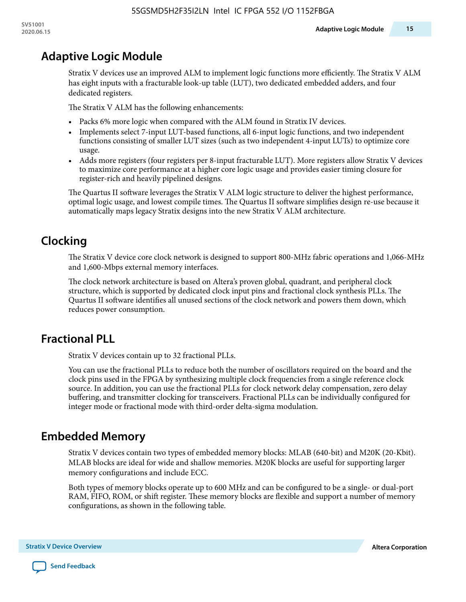# **Adaptive Logic Module**

Stratix V devices use an improved ALM to implement logic functions more efficiently. The Stratix V ALM has eight inputs with a fracturable look-up table (LUT), two dedicated embedded adders, and four dedicated registers.

The Stratix V ALM has the following enhancements:

- Packs 6% more logic when compared with the ALM found in Stratix IV devices.
- Implements select 7-input LUT-based functions, all 6-input logic functions, and two independent functions consisting of smaller LUT sizes (such as two independent 4-input LUTs) to optimize core usage.
- Adds more registers (four registers per 8-input fracturable LUT). More registers allow Stratix V devices to maximize core performance at a higher core logic usage and provides easier timing closure for register-rich and heavily pipelined designs.

The Quartus II software leverages the Stratix V ALM logic structure to deliver the highest performance, optimal logic usage, and lowest compile times. The Quartus II software simplifies design re-use because it automatically maps legacy Stratix designs into the new Stratix V ALM architecture.

# **Clocking**

The Stratix V device core clock network is designed to support 800-MHz fabric operations and 1,066-MHz and 1,600-Mbps external memory interfaces.

The clock network architecture is based on Altera's proven global, quadrant, and peripheral clock structure, which is supported by dedicated clock input pins and fractional clock synthesis PLLs. The Quartus II software identifies all unused sections of the clock network and powers them down, which reduces power consumption.

# **Fractional PLL**

Stratix V devices contain up to 32 fractional PLLs.

You can use the fractional PLLs to reduce both the number of oscillators required on the board and the clock pins used in the FPGA by synthesizing multiple clock frequencies from a single reference clock source. In addition, you can use the fractional PLLs for clock network delay compensation, zero delay buffering, and transmitter clocking for transceivers. Fractional PLLs can be individually configured for integer mode or fractional mode with third-order delta-sigma modulation.

# **Embedded Memory**

Stratix V devices contain two types of embedded memory blocks: MLAB (640-bit) and M20K (20-Kbit). MLAB blocks are ideal for wide and shallow memories. M20K blocks are useful for supporting larger memory configurations and include ECC.

Both types of memory blocks operate up to 600 MHz and can be configured to be a single- or dual-port RAM, FIFO, ROM, or shift register. These memory blocks are flexible and support a number of memory configurations, as shown in the following table.

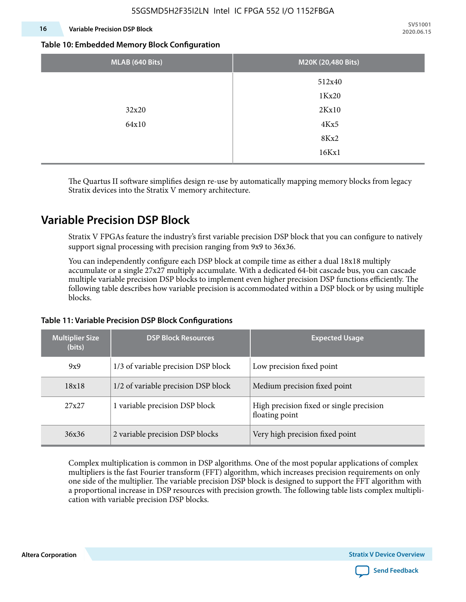### **16 Variable Precision DSP Block**

**SV51001 2020.06.15**

#### **Table 10: Embedded Memory Block Configuration**

| MLAB (640 Bits) | M20K (20,480 Bits) |
|-----------------|--------------------|
|                 | 512x40             |
|                 | 1Kx20              |
| 32x20           | 2Kx10              |
| 64x10           | 4Kx5               |
|                 | 8Kx2               |
|                 | 16Kx1              |

The Quartus II software simplifies design re-use by automatically mapping memory blocks from legacy Stratix devices into the Stratix V memory architecture.

### **Variable Precision DSP Block**

Stratix V FPGAs feature the industry's first variable precision DSP block that you can configure to natively support signal processing with precision ranging from 9x9 to 36x36.

You can independently configure each DSP block at compile time as either a dual 18x18 multiply accumulate or a single 27x27 multiply accumulate. With a dedicated 64-bit cascade bus, you can cascade multiple variable precision DSP blocks to implement even higher precision DSP functions efficiently. The following table describes how variable precision is accommodated within a DSP block or by using multiple blocks.

| <b>Multiplier Size</b><br>(bits) | <b>DSP Block Resources</b>          | <b>Expected Usage</b>                                      |
|----------------------------------|-------------------------------------|------------------------------------------------------------|
| 9x9                              | 1/3 of variable precision DSP block | Low precision fixed point                                  |
| 18x18                            | 1/2 of variable precision DSP block | Medium precision fixed point                               |
| 27x27                            | 1 variable precision DSP block      | High precision fixed or single precision<br>floating point |
| 36x36                            | 2 variable precision DSP blocks     | Very high precision fixed point                            |

### **Table 11: Variable Precision DSP Block Configurations**

Complex multiplication is common in DSP algorithms. One of the most popular applications of complex multipliers is the fast Fourier transform (FFT) algorithm, which increases precision requirements on only one side of the multiplier. The variable precision DSP block is designed to support the FFT algorithm with a proportional increase in DSP resources with precision growth. The following table lists complex multipli‐ cation with variable precision DSP blocks.

**Altera Corporation** 

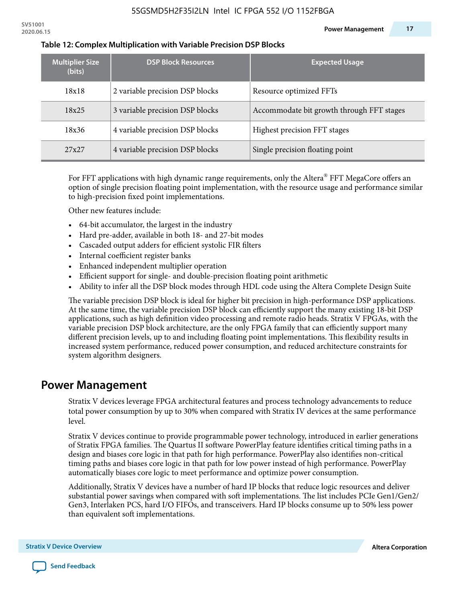| <b>Multiplier Size</b><br>(bits) | <b>DSP Block Resources</b>      | <b>Expected Usage</b>                     |
|----------------------------------|---------------------------------|-------------------------------------------|
| 18x18                            | 2 variable precision DSP blocks | Resource optimized FFTs                   |
| 18x25                            | 3 variable precision DSP blocks | Accommodate bit growth through FFT stages |
| 18x36                            | 4 variable precision DSP blocks | Highest precision FFT stages              |
| 27x27                            | 4 variable precision DSP blocks | Single precision floating point           |

#### **Table 12: Complex Multiplication with Variable Precision DSP Blocks**

For FFT applications with high dynamic range requirements, only the Altera $^\circ$  FFT MegaCore offers an option of single precision floating point implementation, with the resource usage and performance similar to high-precision fixed point implementations.

Other new features include:

- 64-bit accumulator, the largest in the industry
- Hard pre-adder, available in both 18- and 27-bit modes
- Cascaded output adders for efficient systolic FIR filters
- Internal coefficient register banks
- Enhanced independent multiplier operation
- Efficient support for single- and double-precision floating point arithmetic
- Ability to infer all the DSP block modes through HDL code using the Altera Complete Design Suite

The variable precision DSP block is ideal for higher bit precision in high-performance DSP applications. At the same time, the variable precision DSP block can efficiently support the many existing 18-bit DSP applications, such as high definition video processing and remote radio heads. Stratix V FPGAs, with the variable precision DSP block architecture, are the only FPGA family that can efficiently support many different precision levels, up to and including floating point implementations. This flexibility results in increased system performance, reduced power consumption, and reduced architecture constraints for system algorithm designers.

### **Power Management**

Stratix V devices leverage FPGA architectural features and process technology advancements to reduce total power consumption by up to 30% when compared with Stratix IV devices at the same performance level.

Stratix V devices continue to provide programmable power technology, introduced in earlier generations of Stratix FPGA families. The Quartus II software PowerPlay feature identifies critical timing paths in a design and biases core logic in that path for high performance. PowerPlay also identifies non-critical timing paths and biases core logic in that path for low power instead of high performance. PowerPlay automatically biases core logic to meet performance and optimize power consumption.

Additionally, Stratix V devices have a number of hard IP blocks that reduce logic resources and deliver substantial power savings when compared with soft implementations. The list includes PCIe Gen1/Gen2/ Gen3, Interlaken PCS, hard I/O FIFOs, and transceivers. Hard IP blocks consume up to 50% less power than equivalent soft implementations.

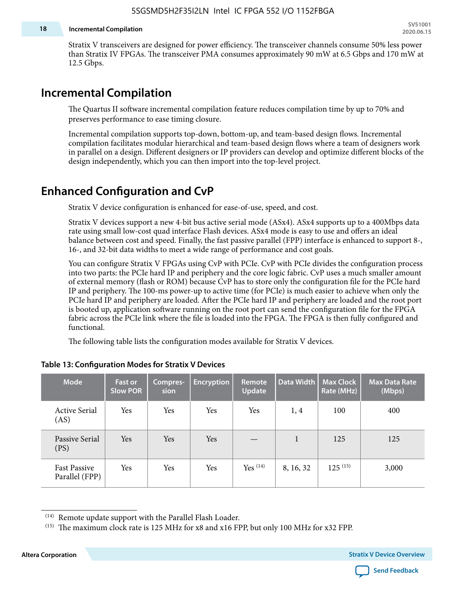#### **18 Incremental Compilation**

Stratix V transceivers are designed for power efficiency. The transceiver channels consume 50% less power than Stratix IV FPGAs. The transceiver PMA consumes approximately 90 mW at 6.5 Gbps and 170 mW at 12.5 Gbps.

# **Incremental Compilation**

The Quartus II software incremental compilation feature reduces compilation time by up to 70% and preserves performance to ease timing closure.

Incremental compilation supports top-down, bottom-up, and team-based design flows. Incremental compilation facilitates modular hierarchical and team-based design flows where a team of designers work in parallel on a design. Different designers or IP providers can develop and optimize different blocks of the design independently, which you can then import into the top-level project.

# **Enhanced Configuration and CvP**

Stratix V device configuration is enhanced for ease-of-use, speed, and cost.

Stratix V devices support a new 4-bit bus active serial mode (ASx4). ASx4 supports up to a 400Mbps data rate using small low-cost quad interface Flash devices. ASx4 mode is easy to use and offers an ideal balance between cost and speed. Finally, the fast passive parallel (FPP) interface is enhanced to support 8-, 16-, and 32-bit data widths to meet a wide range of performance and cost goals.

You can configure Stratix V FPGAs using CvP with PCIe. CvP with PCIe divides the configuration process into two parts: the PCIe hard IP and periphery and the core logic fabric. CvP uses a much smaller amount of external memory (flash or ROM) because CvP has to store only the configuration file for the PCIe hard IP and periphery. The 100-ms power-up to active time (for PCIe) is much easier to achieve when only the PCIe hard IP and periphery are loaded. After the PCIe hard IP and periphery are loaded and the root port is booted up, application software running on the root port can send the configuration file for the FPGA fabric across the PCIe link where the file is loaded into the FPGA. The FPGA is then fully configured and functional.

The following table lists the configuration modes available for Stratix V devices.

| <b>Mode</b>                           | <b>Fast or</b><br><b>Slow POR</b> | Compres-<br>sion | <b>Encryption</b> | Remote<br><b>Update</b> | Data Width | <b>Max Clock</b><br>Rate (MHz) | <b>Max Data Rate</b><br>(Mbps) |
|---------------------------------------|-----------------------------------|------------------|-------------------|-------------------------|------------|--------------------------------|--------------------------------|
| <b>Active Serial</b><br>(AS)          | Yes                               | Yes              | Yes               | Yes                     | 1, 4       | 100                            | 400                            |
| Passive Serial<br>(PS)                | Yes                               | Yes              | Yes               |                         | 1          | 125                            | 125                            |
| <b>Fast Passive</b><br>Parallel (FPP) | Yes                               | Yes              | Yes               | $Yes$ $(14)$            | 8, 16, 32  | $125^{(15)}$                   | 3,000                          |

### **Table 13: Configuration Modes for Stratix V Devices**

**Altera Corporation Stratix V Device Overview**



<sup>(14)</sup> Remote update support with the Parallel Flash Loader.

<sup>&</sup>lt;sup>(15)</sup> The maximum clock rate is 125 MHz for x8 and x16 FPP, but only 100 MHz for x32 FPP.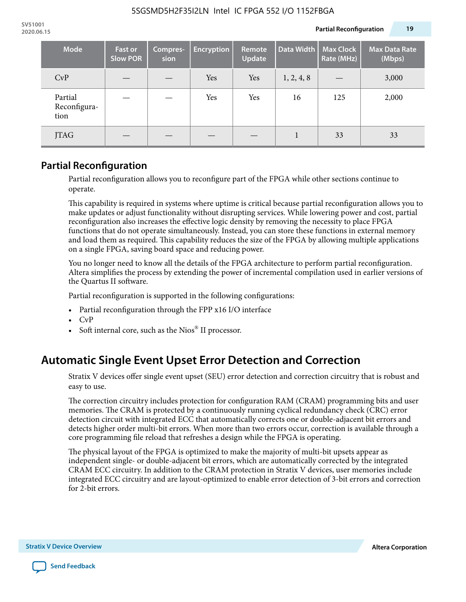| <b>Mode</b>                     | <b>Fast or</b><br><b>Slow POR</b> | Compres-<br>sion | <b>Encryption</b> | Remote<br><b>Update</b> | Data Width | <b>Max Clock</b><br>Rate (MHz) | <b>Max Data Rate</b><br>(Mbps) |
|---------------------------------|-----------------------------------|------------------|-------------------|-------------------------|------------|--------------------------------|--------------------------------|
| CvP                             |                                   |                  | Yes               | Yes                     | 1, 2, 4, 8 |                                | 3,000                          |
| Partial<br>Reconfigura-<br>tion |                                   |                  | Yes               | Yes                     | 16         | 125                            | 2,000                          |
| <b>JTAG</b>                     |                                   |                  |                   |                         |            | 33                             | 33                             |

### **Partial Reconfiguration**

Partial reconfiguration allows you to reconfigure part of the FPGA while other sections continue to operate.

This capability is required in systems where uptime is critical because partial reconfiguration allows you to make updates or adjust functionality without disrupting services. While lowering power and cost, partial reconfiguration also increases the effective logic density by removing the necessity to place FPGA functions that do not operate simultaneously. Instead, you can store these functions in external memory and load them as required. This capability reduces the size of the FPGA by allowing multiple applications on a single FPGA, saving board space and reducing power.

You no longer need to know all the details of the FPGA architecture to perform partial reconfiguration. Altera simplifies the process by extending the power of incremental compilation used in earlier versions of the Quartus II software.

Partial reconfiguration is supported in the following configurations:

- Partial reconfiguration through the FPP x16 I/O interface
- CvP
- Soft internal core, such as the Nios® II processor.

# **Automatic Single Event Upset Error Detection and Correction**

Stratix V devices offer single event upset (SEU) error detection and correction circuitry that is robust and easy to use.

The correction circuitry includes protection for configuration RAM (CRAM) programming bits and user memories. The CRAM is protected by a continuously running cyclical redundancy check (CRC) error detection circuit with integrated ECC that automatically corrects one or double-adjacent bit errors and detects higher order multi-bit errors. When more than two errors occur, correction is available through a core programming file reload that refreshes a design while the FPGA is operating.

The physical layout of the FPGA is optimized to make the majority of multi-bit upsets appear as independent single- or double-adjacent bit errors, which are automatically corrected by the integrated CRAM ECC circuitry. In addition to the CRAM protection in Stratix V devices, user memories include integrated ECC circuitry and are layout-optimized to enable error detection of 3-bit errors and correction for 2-bit errors.

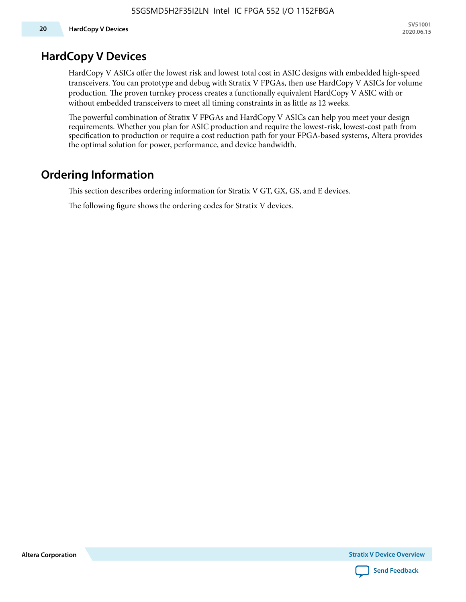# **HardCopy V Devices**

HardCopy V ASICs offer the lowest risk and lowest total cost in ASIC designs with embedded high-speed transceivers. You can prototype and debug with Stratix V FPGAs, then use HardCopy V ASICs for volume production. The proven turnkey process creates a functionally equivalent HardCopy V ASIC with or without embedded transceivers to meet all timing constraints in as little as 12 weeks.

The powerful combination of Stratix V FPGAs and HardCopy V ASICs can help you meet your design requirements. Whether you plan for ASIC production and require the lowest-risk, lowest-cost path from specification to production or require a cost reduction path for your FPGA-based systems, Altera provides the optimal solution for power, performance, and device bandwidth.

# **Ordering Information**

This section describes ordering information for Stratix V GT, GX, GS, and E devices.

The following figure shows the ordering codes for Stratix V devices.

**Altera Corporation** 

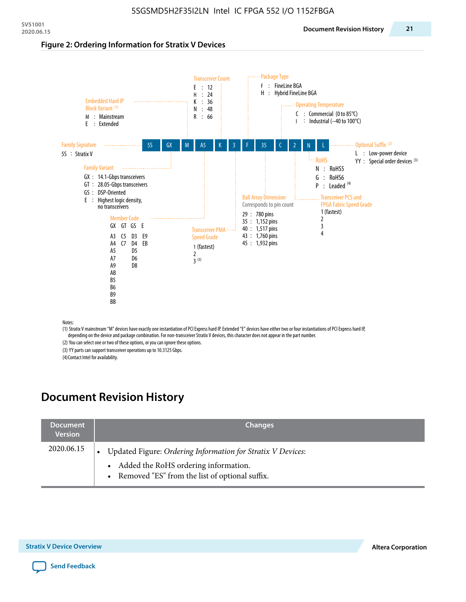#### **Figure 2: Ordering Information for Stratix V Devices**



(1) Stratix V mainstream "M" devices have exactly one instantiation of PCI Express hard IP. Extended "E" devices have either two or four instantiations of PCI Express hard IP, depending on the device and package combination. For non-transceiver Stratix V devices, this character does not appear in the part number.

(2) You can select one or two of these options, or you can ignore these options.

(3) YY parts can support transceiver operations up to 10.3125 Gbps.

(4) Contact Intel for availability.

# **Document Revision History**

| <b>Document</b><br><b>Version</b> | <b>Changes</b>                                                                                                                                            |
|-----------------------------------|-----------------------------------------------------------------------------------------------------------------------------------------------------------|
| 2020.06.15                        | Updated Figure: Ordering Information for Stratix V Devices:<br>• Added the RoHS ordering information.<br>• Removed "ES" from the list of optional suffix. |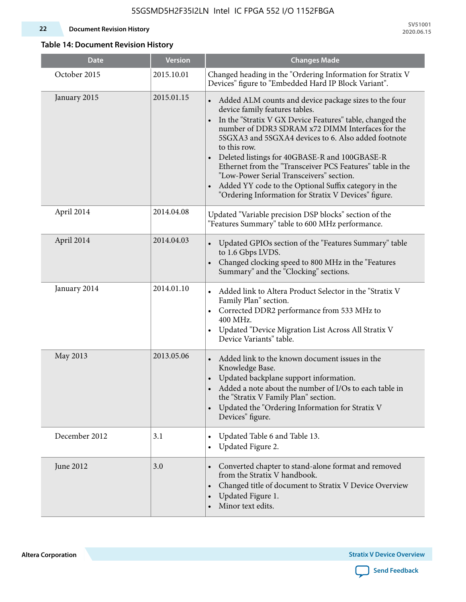#### **22 Document Revision History**

**SV51001 2020.06.15**

### **Table 14: Document Revision History**

| <b>Date</b>   | <b>Version</b> | <b>Changes Made</b>                                                                                                                                                                                                                                                                                                                                                                                                                                                                                                                                        |
|---------------|----------------|------------------------------------------------------------------------------------------------------------------------------------------------------------------------------------------------------------------------------------------------------------------------------------------------------------------------------------------------------------------------------------------------------------------------------------------------------------------------------------------------------------------------------------------------------------|
| October 2015  | 2015.10.01     | Changed heading in the "Ordering Information for Stratix V<br>Devices" figure to "Embedded Hard IP Block Variant".                                                                                                                                                                                                                                                                                                                                                                                                                                         |
| January 2015  | 2015.01.15     | • Added ALM counts and device package sizes to the four<br>device family features tables.<br>In the "Stratix V GX Device Features" table, changed the<br>number of DDR3 SDRAM x72 DIMM Interfaces for the<br>5SGXA3 and 5SGXA4 devices to 6. Also added footnote<br>to this row.<br>Deleted listings for 40GBASE-R and 100GBASE-R<br>Ethernet from the "Transceiver PCS Features" table in the<br>"Low-Power Serial Transceivers" section.<br>Added YY code to the Optional Suffix category in the<br>"Ordering Information for Stratix V Devices" figure. |
| April 2014    | 2014.04.08     | Updated "Variable precision DSP blocks" section of the<br>"Features Summary" table to 600 MHz performance.                                                                                                                                                                                                                                                                                                                                                                                                                                                 |
| April 2014    | 2014.04.03     | Updated GPIOs section of the "Features Summary" table<br>to 1.6 Gbps LVDS.<br>Changed clocking speed to 800 MHz in the "Features<br>Summary" and the "Clocking" sections.                                                                                                                                                                                                                                                                                                                                                                                  |
| January 2014  | 2014.01.10     | Added link to Altera Product Selector in the "Stratix V<br>$\bullet$<br>Family Plan" section.<br>Corrected DDR2 performance from 533 MHz to<br>$\bullet$<br>400 MHz.<br>Updated "Device Migration List Across All Stratix V<br>Device Variants" table.                                                                                                                                                                                                                                                                                                     |
| May 2013      | 2013.05.06     | Added link to the known document issues in the<br>Knowledge Base.<br>Updated backplane support information.<br>$\bullet$<br>Added a note about the number of I/Os to each table in<br>the "Stratix V Family Plan" section.<br>Updated the "Ordering Information for Stratix V<br>$\bullet$<br>Devices" figure.                                                                                                                                                                                                                                             |
| December 2012 | 3.1            | Updated Table 6 and Table 13.<br>$\bullet$<br>Updated Figure 2.<br>$\bullet$                                                                                                                                                                                                                                                                                                                                                                                                                                                                               |
| June 2012     | 3.0            | Converted chapter to stand-alone format and removed<br>$\bullet$<br>from the Stratix V handbook.<br>Changed title of document to Stratix V Device Overview<br>$\bullet$<br>Updated Figure 1.<br>$\bullet$<br>Minor text edits.                                                                                                                                                                                                                                                                                                                             |

**Altera Corporation** 

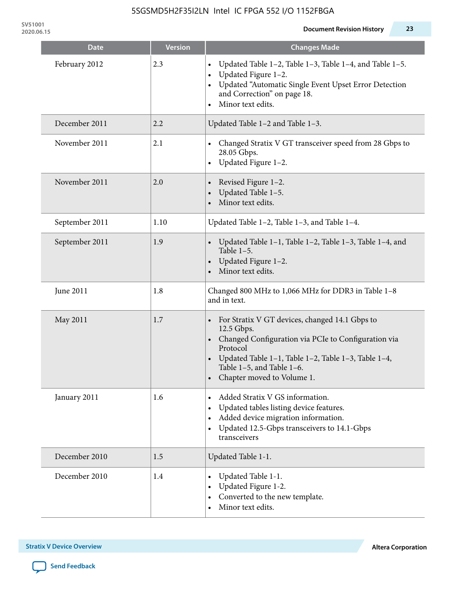**SV51001**

| <b>Date</b>    | <b>Version</b> | <b>Changes Made</b>                                                                                                                                                                                                                                   |
|----------------|----------------|-------------------------------------------------------------------------------------------------------------------------------------------------------------------------------------------------------------------------------------------------------|
| February 2012  | 2.3            | Updated Table 1-2, Table 1-3, Table 1-4, and Table 1-5.<br>Updated Figure 1-2.<br>Updated "Automatic Single Event Upset Error Detection<br>and Correction" on page 18.<br>Minor text edits.                                                           |
| December 2011  | 2.2            | Updated Table 1-2 and Table 1-3.                                                                                                                                                                                                                      |
| November 2011  | 2.1            | Changed Stratix V GT transceiver speed from 28 Gbps to<br>28.05 Gbps.<br>Updated Figure 1-2.                                                                                                                                                          |
| November 2011  | 2.0            | Revised Figure 1-2.<br>Updated Table 1-5.<br>Minor text edits.                                                                                                                                                                                        |
| September 2011 | 1.10           | Updated Table 1-2, Table 1-3, and Table 1-4.                                                                                                                                                                                                          |
| September 2011 | 1.9            | Updated Table 1-1, Table 1-2, Table 1-3, Table 1-4, and<br>Table $1-5$ .<br>Updated Figure 1-2.<br>Minor text edits.                                                                                                                                  |
| June 2011      | 1.8            | Changed 800 MHz to 1,066 MHz for DDR3 in Table 1-8<br>and in text.                                                                                                                                                                                    |
| May 2011       | 1.7            | For Stratix V GT devices, changed 14.1 Gbps to<br>12.5 Gbps.<br>• Changed Configuration via PCIe to Configuration via<br>Protocol<br>Updated Table 1-1, Table 1-2, Table 1-3, Table 1-4,<br>Table 1-5, and Table 1-6.<br>• Chapter moved to Volume 1. |
| January 2011   | 1.6            | Added Stratix V GS information.<br>Updated tables listing device features.<br>Added device migration information.<br>Updated 12.5-Gbps transceivers to 14.1-Gbps<br>transceivers                                                                      |
| December 2010  | 1.5            | Updated Table 1-1.                                                                                                                                                                                                                                    |
| December 2010  | 1.4            | Updated Table 1-1.<br>Updated Figure 1-2.<br>Converted to the new template.<br>Minor text edits.                                                                                                                                                      |

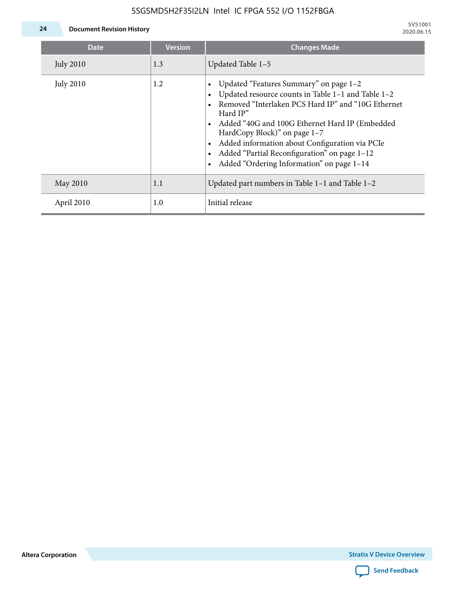

| Date             | <b>Version</b> | <b>Changes Made</b>                                                                                                                                                                                                                                                                                                                                                                             |
|------------------|----------------|-------------------------------------------------------------------------------------------------------------------------------------------------------------------------------------------------------------------------------------------------------------------------------------------------------------------------------------------------------------------------------------------------|
| <b>July 2010</b> | 1.3            | Updated Table 1-5                                                                                                                                                                                                                                                                                                                                                                               |
| <b>July 2010</b> | 1.2            | Updated "Features Summary" on page 1-2<br>Updated resource counts in Table 1-1 and Table 1-2<br>Removed "Interlaken PCS Hard IP" and "10G Ethernet<br>Hard IP"<br>Added "40G and 100G Ethernet Hard IP (Embedded<br>HardCopy Block)" on page 1-7<br>Added information about Configuration via PCIe<br>Added "Partial Reconfiguration" on page 1-12<br>Added "Ordering Information" on page 1-14 |
| May 2010         | 1.1            | Updated part numbers in Table $1-1$ and Table $1-2$                                                                                                                                                                                                                                                                                                                                             |
| April 2010       | 1.0            | Initial release                                                                                                                                                                                                                                                                                                                                                                                 |

**Altera Corporation**